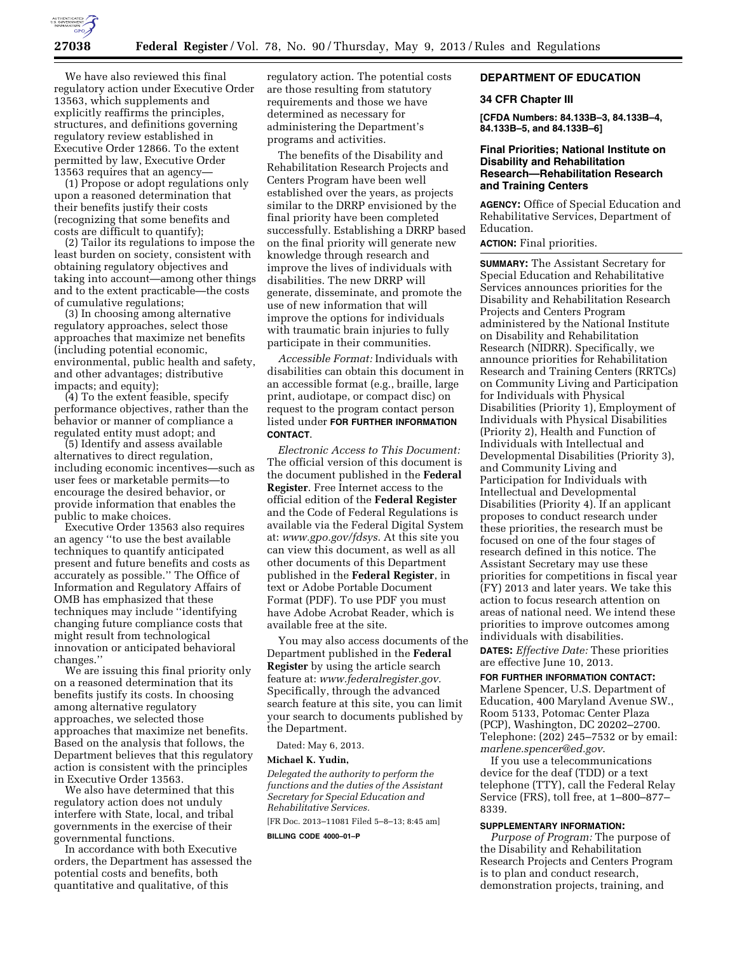

We have also reviewed this final regulatory action under Executive Order 13563, which supplements and explicitly reaffirms the principles, structures, and definitions governing regulatory review established in Executive Order 12866. To the extent permitted by law, Executive Order 13563 requires that an agency—

(1) Propose or adopt regulations only upon a reasoned determination that their benefits justify their costs (recognizing that some benefits and costs are difficult to quantify);

(2) Tailor its regulations to impose the least burden on society, consistent with obtaining regulatory objectives and taking into account—among other things and to the extent practicable—the costs of cumulative regulations;

(3) In choosing among alternative regulatory approaches, select those approaches that maximize net benefits (including potential economic, environmental, public health and safety, and other advantages; distributive impacts; and equity);

(4) To the extent feasible, specify performance objectives, rather than the behavior or manner of compliance a regulated entity must adopt; and

(5) Identify and assess available alternatives to direct regulation, including economic incentives—such as user fees or marketable permits—to encourage the desired behavior, or provide information that enables the public to make choices.

Executive Order 13563 also requires an agency ''to use the best available techniques to quantify anticipated present and future benefits and costs as accurately as possible.'' The Office of Information and Regulatory Affairs of OMB has emphasized that these techniques may include ''identifying changing future compliance costs that might result from technological innovation or anticipated behavioral changes.''

We are issuing this final priority only on a reasoned determination that its benefits justify its costs. In choosing among alternative regulatory approaches, we selected those approaches that maximize net benefits. Based on the analysis that follows, the Department believes that this regulatory action is consistent with the principles in Executive Order 13563.

We also have determined that this regulatory action does not unduly interfere with State, local, and tribal governments in the exercise of their governmental functions.

In accordance with both Executive orders, the Department has assessed the potential costs and benefits, both quantitative and qualitative, of this

regulatory action. The potential costs are those resulting from statutory requirements and those we have determined as necessary for administering the Department's programs and activities.

The benefits of the Disability and Rehabilitation Research Projects and Centers Program have been well established over the years, as projects similar to the DRRP envisioned by the final priority have been completed successfully. Establishing a DRRP based on the final priority will generate new knowledge through research and improve the lives of individuals with disabilities. The new DRRP will generate, disseminate, and promote the use of new information that will improve the options for individuals with traumatic brain injuries to fully participate in their communities.

*Accessible Format:* Individuals with disabilities can obtain this document in an accessible format (e.g., braille, large print, audiotape, or compact disc) on request to the program contact person listed under **FOR FURTHER INFORMATION CONTACT**.

*Electronic Access to This Document:*  The official version of this document is the document published in the **Federal Register**. Free Internet access to the official edition of the **Federal Register**  and the Code of Federal Regulations is available via the Federal Digital System at: *[www.gpo.gov/fdsys.](http://www.gpo.gov/fdsys)* At this site you can view this document, as well as all other documents of this Department published in the **Federal Register**, in text or Adobe Portable Document Format (PDF). To use PDF you must have Adobe Acrobat Reader, which is available free at the site.

You may also access documents of the Department published in the **Federal Register** by using the article search feature at: *[www.federalregister.gov.](http://www.federalregister.gov)*  Specifically, through the advanced search feature at this site, you can limit your search to documents published by the Department.

Dated: May 6, 2013.

#### **Michael K. Yudin,**

*Delegated the authority to perform the functions and the duties of the Assistant Secretary for Special Education and Rehabilitative Services.* 

[FR Doc. 2013–11081 Filed 5–8–13; 8:45 am] **BILLING CODE 4000–01–P** 

## **DEPARTMENT OF EDUCATION**

#### **34 CFR Chapter III**

**[CFDA Numbers: 84.133B–3, 84.133B–4, 84.133B–5, and 84.133B–6]** 

## **Final Priorities; National Institute on Disability and Rehabilitation Research—Rehabilitation Research and Training Centers**

**AGENCY:** Office of Special Education and Rehabilitative Services, Department of Education.

**ACTION:** Final priorities.

**SUMMARY:** The Assistant Secretary for Special Education and Rehabilitative Services announces priorities for the Disability and Rehabilitation Research Projects and Centers Program administered by the National Institute on Disability and Rehabilitation Research (NIDRR). Specifically, we announce priorities for Rehabilitation Research and Training Centers (RRTCs) on Community Living and Participation for Individuals with Physical Disabilities (Priority 1), Employment of Individuals with Physical Disabilities (Priority 2), Health and Function of Individuals with Intellectual and Developmental Disabilities (Priority 3), and Community Living and Participation for Individuals with Intellectual and Developmental Disabilities (Priority 4). If an applicant proposes to conduct research under these priorities, the research must be focused on one of the four stages of research defined in this notice. The Assistant Secretary may use these priorities for competitions in fiscal year (FY) 2013 and later years. We take this action to focus research attention on areas of national need. We intend these priorities to improve outcomes among individuals with disabilities.

**DATES:** *Effective Date:* These priorities are effective June 10, 2013.

**FOR FURTHER INFORMATION CONTACT:**  Marlene Spencer, U.S. Department of Education, 400 Maryland Avenue SW., Room 5133, Potomac Center Plaza (PCP), Washington, DC 20202–2700. Telephone: (202) 245–7532 or by email: *[marlene.spencer@ed.gov](mailto:marlene.spencer@ed.gov)*.

If you use a telecommunications device for the deaf (TDD) or a text telephone (TTY), call the Federal Relay Service (FRS), toll free, at 1–800–877– 8339.

### **SUPPLEMENTARY INFORMATION:**

*Purpose of Program:* The purpose of the Disability and Rehabilitation Research Projects and Centers Program is to plan and conduct research, demonstration projects, training, and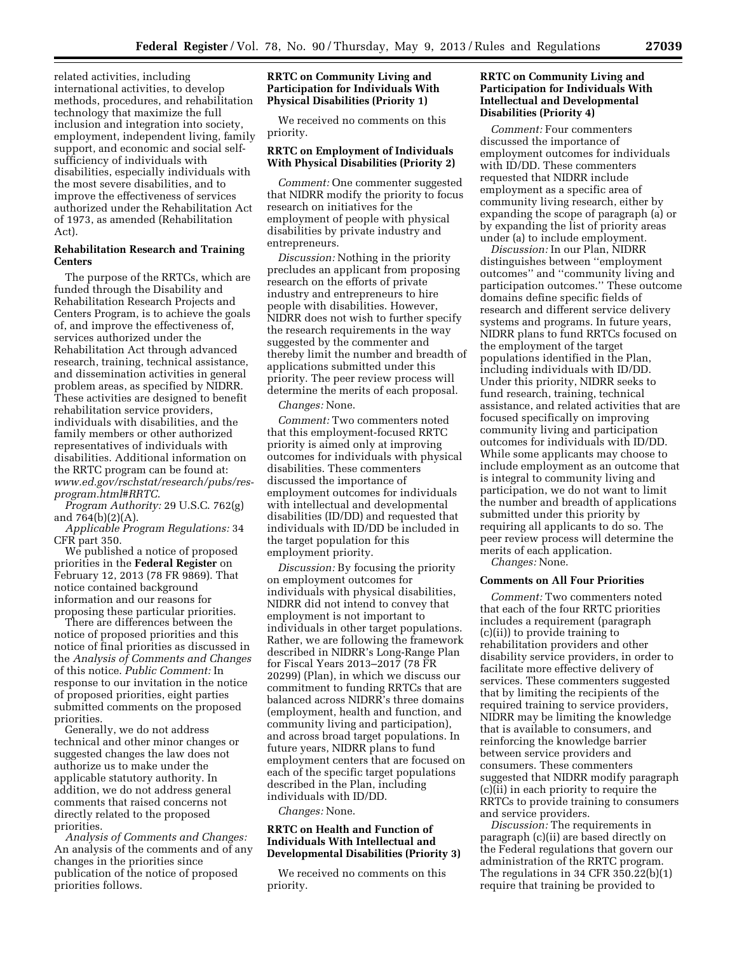related activities, including international activities, to develop methods, procedures, and rehabilitation technology that maximize the full inclusion and integration into society, employment, independent living, family support, and economic and social selfsufficiency of individuals with disabilities, especially individuals with the most severe disabilities, and to improve the effectiveness of services authorized under the Rehabilitation Act of 1973, as amended (Rehabilitation Act).

#### **Rehabilitation Research and Training Centers**

The purpose of the RRTCs, which are funded through the Disability and Rehabilitation Research Projects and Centers Program, is to achieve the goals of, and improve the effectiveness of, services authorized under the Rehabilitation Act through advanced research, training, technical assistance, and dissemination activities in general problem areas, as specified by NIDRR. These activities are designed to benefit rehabilitation service providers, individuals with disabilities, and the family members or other authorized representatives of individuals with disabilities. Additional information on the RRTC program can be found at: *[www.ed.gov/rschstat/research/pubs/res](http://www.ed.gov/rschstat/research/pubs/res-program.html#RRTC)[program.html#RRTC](http://www.ed.gov/rschstat/research/pubs/res-program.html#RRTC)*.

*Program Authority:* 29 U.S.C. 762(g) and 764(b)(2)(A).

*Applicable Program Regulations:* 34 CFR part 350.

We published a notice of proposed priorities in the **Federal Register** on February 12, 2013 (78 FR 9869). That notice contained background information and our reasons for proposing these particular priorities.

There are differences between the notice of proposed priorities and this notice of final priorities as discussed in the *Analysis of Comments and Changes*  of this notice. *Public Comment:* In response to our invitation in the notice of proposed priorities, eight parties submitted comments on the proposed priorities.

Generally, we do not address technical and other minor changes or suggested changes the law does not authorize us to make under the applicable statutory authority. In addition, we do not address general comments that raised concerns not directly related to the proposed priorities.

*Analysis of Comments and Changes:*  An analysis of the comments and of any changes in the priorities since publication of the notice of proposed priorities follows.

### **RRTC on Community Living and Participation for Individuals With Physical Disabilities (Priority 1)**

We received no comments on this priority.

## **RRTC on Employment of Individuals With Physical Disabilities (Priority 2)**

*Comment:* One commenter suggested that NIDRR modify the priority to focus research on initiatives for the employment of people with physical disabilities by private industry and entrepreneurs.

*Discussion:* Nothing in the priority precludes an applicant from proposing research on the efforts of private industry and entrepreneurs to hire people with disabilities. However, NIDRR does not wish to further specify the research requirements in the way suggested by the commenter and thereby limit the number and breadth of applications submitted under this priority. The peer review process will determine the merits of each proposal.

### *Changes:* None.

*Comment:* Two commenters noted that this employment-focused RRTC priority is aimed only at improving outcomes for individuals with physical disabilities. These commenters discussed the importance of employment outcomes for individuals with intellectual and developmental disabilities (ID/DD) and requested that individuals with ID/DD be included in the target population for this employment priority.

*Discussion:* By focusing the priority on employment outcomes for individuals with physical disabilities, NIDRR did not intend to convey that employment is not important to individuals in other target populations. Rather, we are following the framework described in NIDRR's Long-Range Plan for Fiscal Years 2013–2017 (78 FR 20299) (Plan), in which we discuss our commitment to funding RRTCs that are balanced across NIDRR's three domains (employment, health and function, and community living and participation), and across broad target populations. In future years, NIDRR plans to fund employment centers that are focused on each of the specific target populations described in the Plan, including individuals with ID/DD.

*Changes:* None.

### **RRTC on Health and Function of Individuals With Intellectual and Developmental Disabilities (Priority 3)**

We received no comments on this priority.

### **RRTC on Community Living and Participation for Individuals With Intellectual and Developmental Disabilities (Priority 4)**

*Comment:* Four commenters discussed the importance of employment outcomes for individuals with ID/DD. These commenters requested that NIDRR include employment as a specific area of community living research, either by expanding the scope of paragraph (a) or by expanding the list of priority areas under (a) to include employment.

*Discussion:* In our Plan, NIDRR distinguishes between ''employment outcomes'' and ''community living and participation outcomes.'' These outcome domains define specific fields of research and different service delivery systems and programs. In future years, NIDRR plans to fund RRTCs focused on the employment of the target populations identified in the Plan, including individuals with ID/DD. Under this priority, NIDRR seeks to fund research, training, technical assistance, and related activities that are focused specifically on improving community living and participation outcomes for individuals with ID/DD. While some applicants may choose to include employment as an outcome that is integral to community living and participation, we do not want to limit the number and breadth of applications submitted under this priority by requiring all applicants to do so. The peer review process will determine the merits of each application. *Changes:* None.

#### **Comments on All Four Priorities**

*Comment:* Two commenters noted that each of the four RRTC priorities includes a requirement (paragraph (c)(ii)) to provide training to rehabilitation providers and other disability service providers, in order to facilitate more effective delivery of services. These commenters suggested that by limiting the recipients of the required training to service providers, NIDRR may be limiting the knowledge that is available to consumers, and reinforcing the knowledge barrier between service providers and consumers. These commenters suggested that NIDRR modify paragraph (c)(ii) in each priority to require the RRTCs to provide training to consumers and service providers.

*Discussion:* The requirements in paragraph (c)(ii) are based directly on the Federal regulations that govern our administration of the RRTC program. The regulations in 34 CFR 350.22(b)(1) require that training be provided to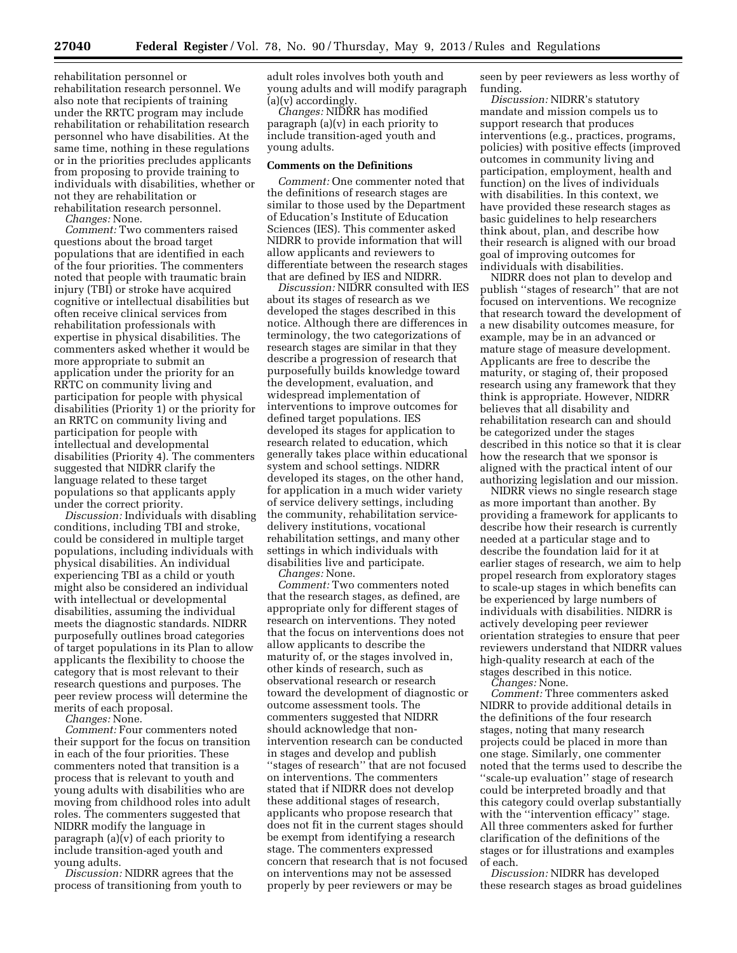rehabilitation personnel or rehabilitation research personnel. We also note that recipients of training under the RRTC program may include rehabilitation or rehabilitation research personnel who have disabilities. At the same time, nothing in these regulations or in the priorities precludes applicants from proposing to provide training to individuals with disabilities, whether or not they are rehabilitation or rehabilitation research personnel.

*Changes:* None.

*Comment:* Two commenters raised questions about the broad target populations that are identified in each of the four priorities. The commenters noted that people with traumatic brain injury (TBI) or stroke have acquired cognitive or intellectual disabilities but often receive clinical services from rehabilitation professionals with expertise in physical disabilities. The commenters asked whether it would be more appropriate to submit an application under the priority for an RRTC on community living and participation for people with physical disabilities (Priority 1) or the priority for an RRTC on community living and participation for people with intellectual and developmental disabilities (Priority 4). The commenters suggested that NIDRR clarify the language related to these target populations so that applicants apply under the correct priority.

*Discussion:* Individuals with disabling conditions, including TBI and stroke, could be considered in multiple target populations, including individuals with physical disabilities. An individual experiencing TBI as a child or youth might also be considered an individual with intellectual or developmental disabilities, assuming the individual meets the diagnostic standards. NIDRR purposefully outlines broad categories of target populations in its Plan to allow applicants the flexibility to choose the category that is most relevant to their research questions and purposes. The peer review process will determine the merits of each proposal.

*Changes:* None.

*Comment:* Four commenters noted their support for the focus on transition in each of the four priorities. These commenters noted that transition is a process that is relevant to youth and young adults with disabilities who are moving from childhood roles into adult roles. The commenters suggested that NIDRR modify the language in paragraph (a)(v) of each priority to include transition-aged youth and young adults.

*Discussion:* NIDRR agrees that the process of transitioning from youth to adult roles involves both youth and young adults and will modify paragraph (a)(v) accordingly.

*Changes:* NIDRR has modified paragraph (a)(v) in each priority to include transition-aged youth and young adults.

# **Comments on the Definitions**

*Comment:* One commenter noted that the definitions of research stages are similar to those used by the Department of Education's Institute of Education Sciences (IES). This commenter asked NIDRR to provide information that will allow applicants and reviewers to differentiate between the research stages that are defined by IES and NIDRR.

*Discussion:* NIDRR consulted with IES about its stages of research as we developed the stages described in this notice. Although there are differences in terminology, the two categorizations of research stages are similar in that they describe a progression of research that purposefully builds knowledge toward the development, evaluation, and widespread implementation of interventions to improve outcomes for defined target populations. IES developed its stages for application to research related to education, which generally takes place within educational system and school settings. NIDRR developed its stages, on the other hand, for application in a much wider variety of service delivery settings, including the community, rehabilitation servicedelivery institutions, vocational rehabilitation settings, and many other settings in which individuals with disabilities live and participate.

*Changes:* None. *Comment:* Two commenters noted that the research stages, as defined, are appropriate only for different stages of research on interventions. They noted that the focus on interventions does not allow applicants to describe the maturity of, or the stages involved in, other kinds of research, such as observational research or research toward the development of diagnostic or outcome assessment tools. The commenters suggested that NIDRR should acknowledge that nonintervention research can be conducted in stages and develop and publish ''stages of research'' that are not focused on interventions. The commenters stated that if NIDRR does not develop these additional stages of research, applicants who propose research that does not fit in the current stages should be exempt from identifying a research stage. The commenters expressed concern that research that is not focused on interventions may not be assessed properly by peer reviewers or may be

seen by peer reviewers as less worthy of funding.

*Discussion:* NIDRR's statutory mandate and mission compels us to support research that produces interventions (e.g., practices, programs, policies) with positive effects (improved outcomes in community living and participation, employment, health and function) on the lives of individuals with disabilities. In this context, we have provided these research stages as basic guidelines to help researchers think about, plan, and describe how their research is aligned with our broad goal of improving outcomes for individuals with disabilities.

NIDRR does not plan to develop and publish ''stages of research'' that are not focused on interventions. We recognize that research toward the development of a new disability outcomes measure, for example, may be in an advanced or mature stage of measure development. Applicants are free to describe the maturity, or staging of, their proposed research using any framework that they think is appropriate. However, NIDRR believes that all disability and rehabilitation research can and should be categorized under the stages described in this notice so that it is clear how the research that we sponsor is aligned with the practical intent of our authorizing legislation and our mission.

NIDRR views no single research stage as more important than another. By providing a framework for applicants to describe how their research is currently needed at a particular stage and to describe the foundation laid for it at earlier stages of research, we aim to help propel research from exploratory stages to scale-up stages in which benefits can be experienced by large numbers of individuals with disabilities. NIDRR is actively developing peer reviewer orientation strategies to ensure that peer reviewers understand that NIDRR values high-quality research at each of the stages described in this notice.

*Changes:* None.

*Comment:* Three commenters asked NIDRR to provide additional details in the definitions of the four research stages, noting that many research projects could be placed in more than one stage. Similarly, one commenter noted that the terms used to describe the ''scale-up evaluation'' stage of research could be interpreted broadly and that this category could overlap substantially with the ''intervention efficacy'' stage. All three commenters asked for further clarification of the definitions of the stages or for illustrations and examples of each.

*Discussion:* NIDRR has developed these research stages as broad guidelines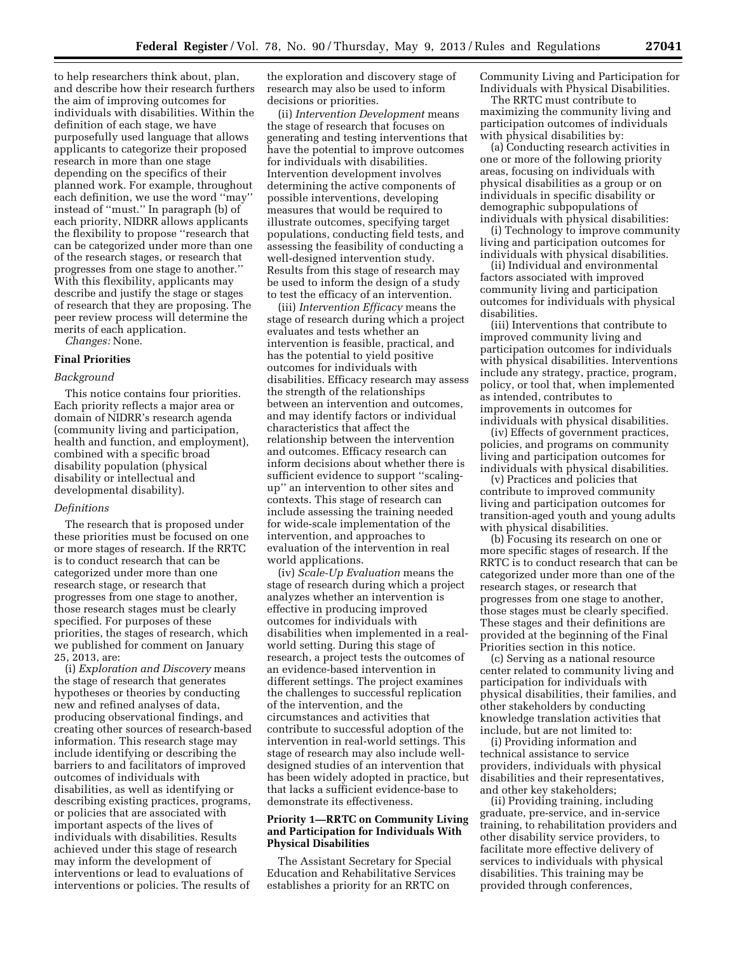to help researchers think about, plan, and describe how their research furthers the aim of improving outcomes for individuals with disabilities. Within the definition of each stage, we have purposefully used language that allows applicants to categorize their proposed research in more than one stage depending on the specifics of their planned work. For example, throughout each definition, we use the word ''may'' instead of ''must.'' In paragraph (b) of each priority, NIDRR allows applicants the flexibility to propose ''research that can be categorized under more than one of the research stages, or research that progresses from one stage to another.'' With this flexibility, applicants may describe and justify the stage or stages of research that they are proposing. The peer review process will determine the merits of each application.

*Changes:* None.

# **Final Priorities**

#### *Background*

This notice contains four priorities. Each priority reflects a major area or domain of NIDRR's research agenda (community living and participation, health and function, and employment), combined with a specific broad disability population (physical disability or intellectual and developmental disability).

#### *Definitions*

The research that is proposed under these priorities must be focused on one or more stages of research. If the RRTC is to conduct research that can be categorized under more than one research stage, or research that progresses from one stage to another, those research stages must be clearly specified. For purposes of these priorities, the stages of research, which we published for comment on January 25, 2013, are:

(i) *Exploration and Discovery* means the stage of research that generates hypotheses or theories by conducting new and refined analyses of data, producing observational findings, and creating other sources of research-based information. This research stage may include identifying or describing the barriers to and facilitators of improved outcomes of individuals with disabilities, as well as identifying or describing existing practices, programs, or policies that are associated with important aspects of the lives of individuals with disabilities. Results achieved under this stage of research may inform the development of interventions or lead to evaluations of interventions or policies. The results of

the exploration and discovery stage of research may also be used to inform decisions or priorities.

(ii) *Intervention Development* means the stage of research that focuses on generating and testing interventions that have the potential to improve outcomes for individuals with disabilities. Intervention development involves determining the active components of possible interventions, developing measures that would be required to illustrate outcomes, specifying target populations, conducting field tests, and assessing the feasibility of conducting a well-designed intervention study. Results from this stage of research may be used to inform the design of a study to test the efficacy of an intervention.

(iii) *Intervention Efficacy* means the stage of research during which a project evaluates and tests whether an intervention is feasible, practical, and has the potential to yield positive outcomes for individuals with disabilities. Efficacy research may assess the strength of the relationships between an intervention and outcomes, and may identify factors or individual characteristics that affect the relationship between the intervention and outcomes. Efficacy research can inform decisions about whether there is sufficient evidence to support ''scalingup'' an intervention to other sites and contexts. This stage of research can include assessing the training needed for wide-scale implementation of the intervention, and approaches to evaluation of the intervention in real world applications.

(iv) *Scale-Up Evaluation* means the stage of research during which a project analyzes whether an intervention is effective in producing improved outcomes for individuals with disabilities when implemented in a realworld setting. During this stage of research, a project tests the outcomes of an evidence-based intervention in different settings. The project examines the challenges to successful replication of the intervention, and the circumstances and activities that contribute to successful adoption of the intervention in real-world settings. This stage of research may also include welldesigned studies of an intervention that has been widely adopted in practice, but that lacks a sufficient evidence-base to demonstrate its effectiveness.

## **Priority 1—RRTC on Community Living and Participation for Individuals With Physical Disabilities**

The Assistant Secretary for Special Education and Rehabilitative Services establishes a priority for an RRTC on

Community Living and Participation for Individuals with Physical Disabilities.

The RRTC must contribute to maximizing the community living and participation outcomes of individuals with physical disabilities by:

(a) Conducting research activities in one or more of the following priority areas, focusing on individuals with physical disabilities as a group or on individuals in specific disability or demographic subpopulations of individuals with physical disabilities:

(i) Technology to improve community living and participation outcomes for individuals with physical disabilities.

(ii) Individual and environmental factors associated with improved community living and participation outcomes for individuals with physical disabilities.

(iii) Interventions that contribute to improved community living and participation outcomes for individuals with physical disabilities. Interventions include any strategy, practice, program, policy, or tool that, when implemented as intended, contributes to improvements in outcomes for individuals with physical disabilities.

(iv) Effects of government practices, policies, and programs on community living and participation outcomes for individuals with physical disabilities.

(v) Practices and policies that contribute to improved community living and participation outcomes for transition-aged youth and young adults with physical disabilities.

(b) Focusing its research on one or more specific stages of research. If the RRTC is to conduct research that can be categorized under more than one of the research stages, or research that progresses from one stage to another, those stages must be clearly specified. These stages and their definitions are provided at the beginning of the Final Priorities section in this notice.

(c) Serving as a national resource center related to community living and participation for individuals with physical disabilities, their families, and other stakeholders by conducting knowledge translation activities that include, but are not limited to:

(i) Providing information and technical assistance to service providers, individuals with physical disabilities and their representatives, and other key stakeholders;

(ii) Providing training, including graduate, pre-service, and in-service training, to rehabilitation providers and other disability service providers, to facilitate more effective delivery of services to individuals with physical disabilities. This training may be provided through conferences,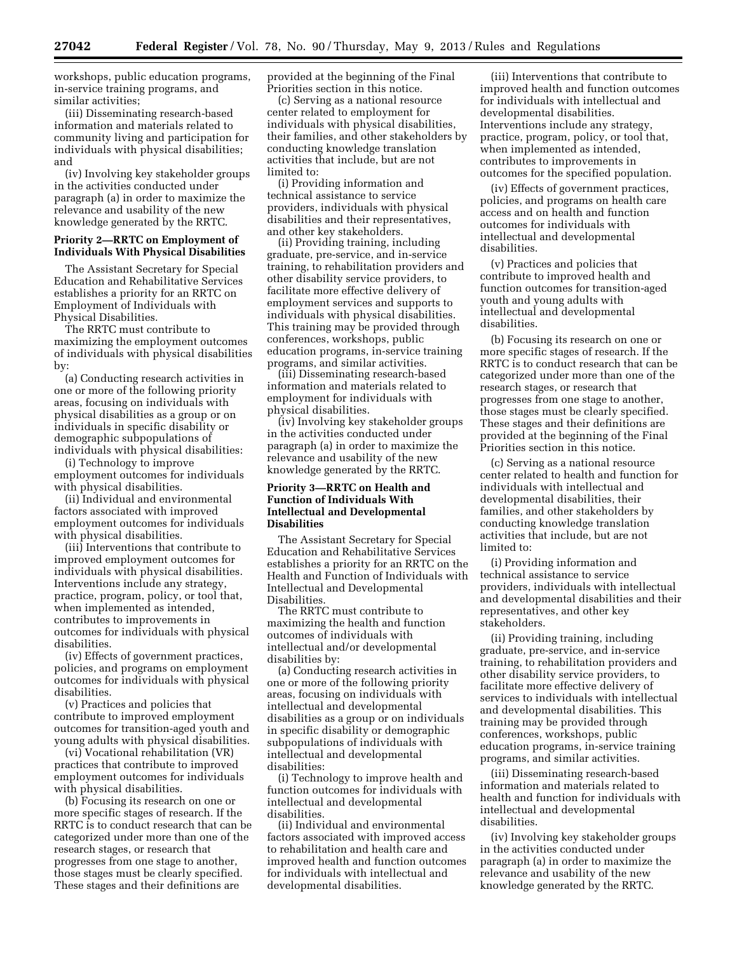workshops, public education programs, in-service training programs, and similar activities;

(iii) Disseminating research-based information and materials related to community living and participation for individuals with physical disabilities; and

(iv) Involving key stakeholder groups in the activities conducted under paragraph (a) in order to maximize the relevance and usability of the new knowledge generated by the RRTC.

### **Priority 2—RRTC on Employment of Individuals With Physical Disabilities**

The Assistant Secretary for Special Education and Rehabilitative Services establishes a priority for an RRTC on Employment of Individuals with Physical Disabilities.

The RRTC must contribute to maximizing the employment outcomes of individuals with physical disabilities by:

(a) Conducting research activities in one or more of the following priority areas, focusing on individuals with physical disabilities as a group or on individuals in specific disability or demographic subpopulations of individuals with physical disabilities:

(i) Technology to improve employment outcomes for individuals with physical disabilities.

(ii) Individual and environmental factors associated with improved employment outcomes for individuals with physical disabilities.

(iii) Interventions that contribute to improved employment outcomes for individuals with physical disabilities. Interventions include any strategy, practice, program, policy, or tool that, when implemented as intended, contributes to improvements in outcomes for individuals with physical disabilities.

(iv) Effects of government practices, policies, and programs on employment outcomes for individuals with physical disabilities.

(v) Practices and policies that contribute to improved employment outcomes for transition-aged youth and young adults with physical disabilities.

(vi) Vocational rehabilitation (VR) practices that contribute to improved employment outcomes for individuals with physical disabilities.

(b) Focusing its research on one or more specific stages of research. If the RRTC is to conduct research that can be categorized under more than one of the research stages, or research that progresses from one stage to another, those stages must be clearly specified. These stages and their definitions are

provided at the beginning of the Final Priorities section in this notice.

(c) Serving as a national resource center related to employment for individuals with physical disabilities, their families, and other stakeholders by conducting knowledge translation activities that include, but are not limited to:

(i) Providing information and technical assistance to service providers, individuals with physical disabilities and their representatives, and other key stakeholders.

(ii) Providing training, including graduate, pre-service, and in-service training, to rehabilitation providers and other disability service providers, to facilitate more effective delivery of employment services and supports to individuals with physical disabilities. This training may be provided through conferences, workshops, public education programs, in-service training programs, and similar activities.

(iii) Disseminating research-based information and materials related to employment for individuals with physical disabilities.

(iv) Involving key stakeholder groups in the activities conducted under paragraph (a) in order to maximize the relevance and usability of the new knowledge generated by the RRTC.

### **Priority 3—RRTC on Health and Function of Individuals With Intellectual and Developmental Disabilities**

The Assistant Secretary for Special Education and Rehabilitative Services establishes a priority for an RRTC on the Health and Function of Individuals with Intellectual and Developmental Disabilities.

The RRTC must contribute to maximizing the health and function outcomes of individuals with intellectual and/or developmental disabilities by:

(a) Conducting research activities in one or more of the following priority areas, focusing on individuals with intellectual and developmental disabilities as a group or on individuals in specific disability or demographic subpopulations of individuals with intellectual and developmental disabilities:

(i) Technology to improve health and function outcomes for individuals with intellectual and developmental disabilities.

(ii) Individual and environmental factors associated with improved access to rehabilitation and health care and improved health and function outcomes for individuals with intellectual and developmental disabilities.

(iii) Interventions that contribute to improved health and function outcomes for individuals with intellectual and developmental disabilities. Interventions include any strategy, practice, program, policy, or tool that, when implemented as intended, contributes to improvements in outcomes for the specified population.

(iv) Effects of government practices, policies, and programs on health care access and on health and function outcomes for individuals with intellectual and developmental disabilities.

(v) Practices and policies that contribute to improved health and function outcomes for transition-aged youth and young adults with intellectual and developmental disabilities.

(b) Focusing its research on one or more specific stages of research. If the RRTC is to conduct research that can be categorized under more than one of the research stages, or research that progresses from one stage to another, those stages must be clearly specified. These stages and their definitions are provided at the beginning of the Final Priorities section in this notice.

(c) Serving as a national resource center related to health and function for individuals with intellectual and developmental disabilities, their families, and other stakeholders by conducting knowledge translation activities that include, but are not limited to:

(i) Providing information and technical assistance to service providers, individuals with intellectual and developmental disabilities and their representatives, and other key stakeholders.

(ii) Providing training, including graduate, pre-service, and in-service training, to rehabilitation providers and other disability service providers, to facilitate more effective delivery of services to individuals with intellectual and developmental disabilities. This training may be provided through conferences, workshops, public education programs, in-service training programs, and similar activities.

(iii) Disseminating research-based information and materials related to health and function for individuals with intellectual and developmental disabilities.

(iv) Involving key stakeholder groups in the activities conducted under paragraph (a) in order to maximize the relevance and usability of the new knowledge generated by the RRTC.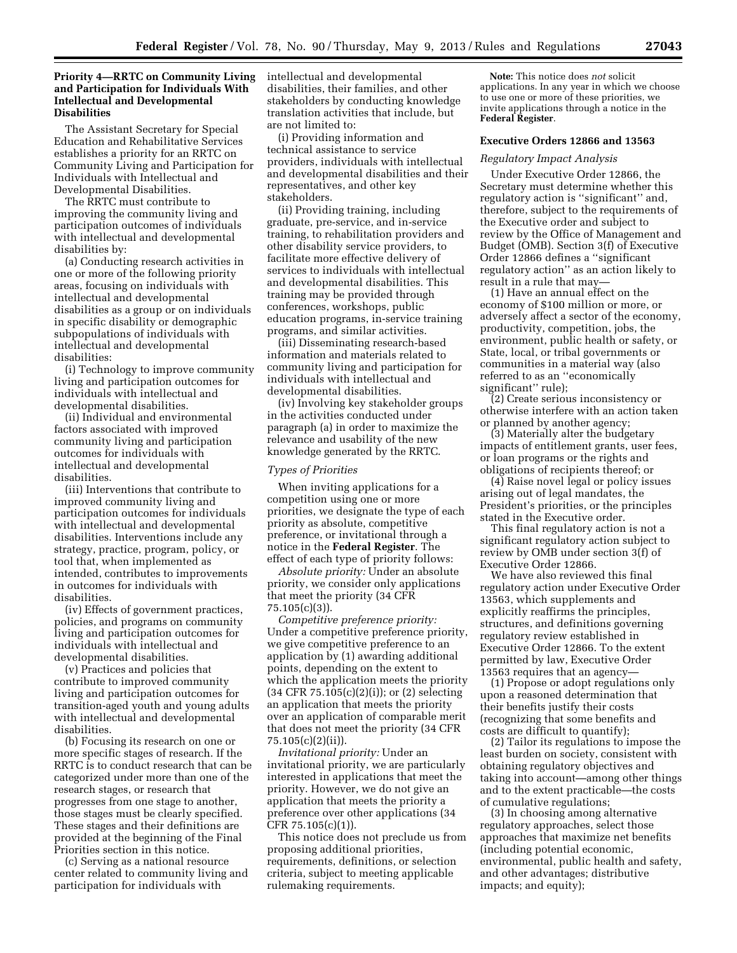# **Priority 4—RRTC on Community Living and Participation for Individuals With Intellectual and Developmental Disabilities**

The Assistant Secretary for Special Education and Rehabilitative Services establishes a priority for an RRTC on Community Living and Participation for Individuals with Intellectual and Developmental Disabilities.

The RRTC must contribute to improving the community living and participation outcomes of individuals with intellectual and developmental disabilities by:

(a) Conducting research activities in one or more of the following priority areas, focusing on individuals with intellectual and developmental disabilities as a group or on individuals in specific disability or demographic subpopulations of individuals with intellectual and developmental disabilities:

(i) Technology to improve community living and participation outcomes for individuals with intellectual and developmental disabilities.

(ii) Individual and environmental factors associated with improved community living and participation outcomes for individuals with intellectual and developmental disabilities.

(iii) Interventions that contribute to improved community living and participation outcomes for individuals with intellectual and developmental disabilities. Interventions include any strategy, practice, program, policy, or tool that, when implemented as intended, contributes to improvements in outcomes for individuals with disabilities.

(iv) Effects of government practices, policies, and programs on community living and participation outcomes for individuals with intellectual and developmental disabilities.

(v) Practices and policies that contribute to improved community living and participation outcomes for transition-aged youth and young adults with intellectual and developmental disabilities.

(b) Focusing its research on one or more specific stages of research. If the RRTC is to conduct research that can be categorized under more than one of the research stages, or research that progresses from one stage to another, those stages must be clearly specified. These stages and their definitions are provided at the beginning of the Final Priorities section in this notice.

(c) Serving as a national resource center related to community living and participation for individuals with

intellectual and developmental disabilities, their families, and other stakeholders by conducting knowledge translation activities that include, but are not limited to:

(i) Providing information and technical assistance to service providers, individuals with intellectual and developmental disabilities and their representatives, and other key stakeholders.

(ii) Providing training, including graduate, pre-service, and in-service training, to rehabilitation providers and other disability service providers, to facilitate more effective delivery of services to individuals with intellectual and developmental disabilities. This training may be provided through conferences, workshops, public education programs, in-service training programs, and similar activities.

(iii) Disseminating research-based information and materials related to community living and participation for individuals with intellectual and developmental disabilities.

(iv) Involving key stakeholder groups in the activities conducted under paragraph (a) in order to maximize the relevance and usability of the new knowledge generated by the RRTC.

#### *Types of Priorities*

When inviting applications for a competition using one or more priorities, we designate the type of each priority as absolute, competitive preference, or invitational through a notice in the **Federal Register**. The effect of each type of priority follows:

*Absolute priority:* Under an absolute priority, we consider only applications that meet the priority (34 CFR 75.105(c)(3)).

*Competitive preference priority:*  Under a competitive preference priority, we give competitive preference to an application by (1) awarding additional points, depending on the extent to which the application meets the priority (34 CFR 75.105(c)(2)(i)); or (2) selecting an application that meets the priority over an application of comparable merit that does not meet the priority (34 CFR 75.105(c)(2)(ii)).

*Invitational priority:* Under an invitational priority, we are particularly interested in applications that meet the priority. However, we do not give an application that meets the priority a preference over other applications (34 CFR 75.105(c)(1)).

This notice does not preclude us from proposing additional priorities, requirements, definitions, or selection criteria, subject to meeting applicable rulemaking requirements.

**Note:** This notice does *not* solicit applications. In any year in which we choose to use one or more of these priorities, we invite applications through a notice in the **Federal Register**.

## **Executive Orders 12866 and 13563**

#### *Regulatory Impact Analysis*

Under Executive Order 12866, the Secretary must determine whether this regulatory action is ''significant'' and, therefore, subject to the requirements of the Executive order and subject to review by the Office of Management and Budget (OMB). Section 3(f) of Executive Order 12866 defines a ''significant regulatory action'' as an action likely to result in a rule that may—

(1) Have an annual effect on the economy of \$100 million or more, or adversely affect a sector of the economy, productivity, competition, jobs, the environment, public health or safety, or State, local, or tribal governments or communities in a material way (also referred to as an ''economically significant'' rule);

(2) Create serious inconsistency or otherwise interfere with an action taken or planned by another agency;

(3) Materially alter the budgetary impacts of entitlement grants, user fees, or loan programs or the rights and obligations of recipients thereof; or

(4) Raise novel legal or policy issues arising out of legal mandates, the President's priorities, or the principles stated in the Executive order.

This final regulatory action is not a significant regulatory action subject to review by OMB under section 3(f) of Executive Order 12866.

We have also reviewed this final regulatory action under Executive Order 13563, which supplements and explicitly reaffirms the principles, structures, and definitions governing regulatory review established in Executive Order 12866. To the extent permitted by law, Executive Order 13563 requires that an agency—

(1) Propose or adopt regulations only upon a reasoned determination that their benefits justify their costs (recognizing that some benefits and costs are difficult to quantify);

(2) Tailor its regulations to impose the least burden on society, consistent with obtaining regulatory objectives and taking into account—among other things and to the extent practicable—the costs of cumulative regulations;

(3) In choosing among alternative regulatory approaches, select those approaches that maximize net benefits (including potential economic, environmental, public health and safety, and other advantages; distributive impacts; and equity);